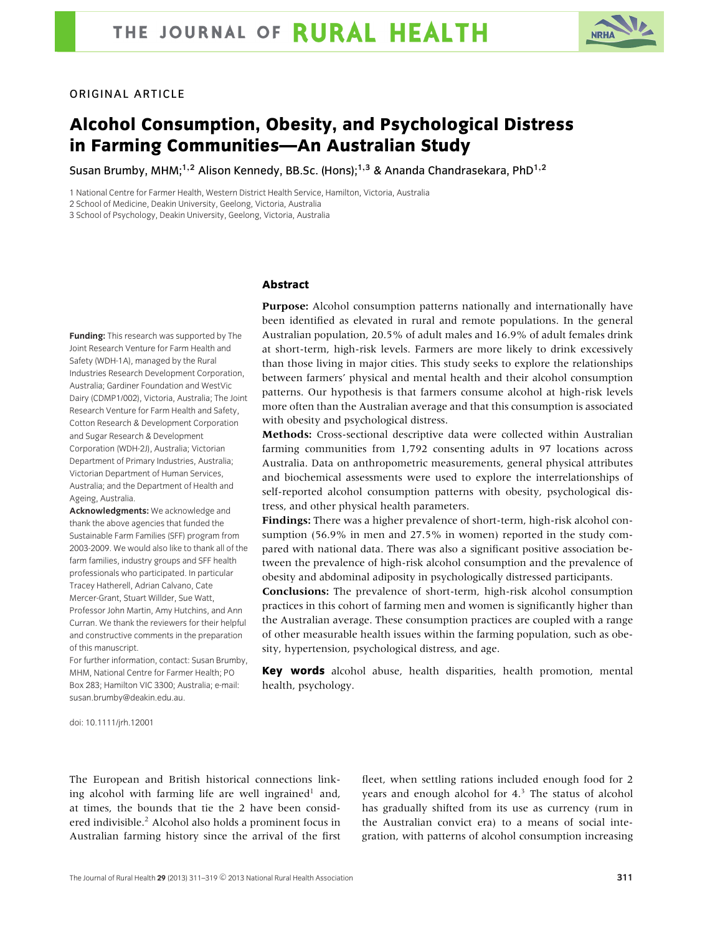

## ORIGINAL ARTICLE

# **Alcohol Consumption, Obesity, and Psychological Distress in Farming Communities—An Australian Study**

Susan Brumby, MHM;**1***,***<sup>2</sup>** Alison Kennedy, BB.Sc. (Hons);**1***,***<sup>3</sup>** & Ananda Chandrasekara, PhD**1***,***<sup>2</sup>**

1 National Centre for Farmer Health, Western District Health Service, Hamilton, Victoria, Australia 2 School of Medicine, Deakin University, Geelong, Victoria, Australia

3 School of Psychology, Deakin University, Geelong, Victoria, Australia

## **Abstract**

**Funding:** This research was supported by The Joint Research Venture for Farm Health and Safety (WDH-1A), managed by the Rural Industries Research Development Corporation, Australia; Gardiner Foundation and WestVic Dairy (CDMP1/002), Victoria, Australia; The Joint Research Venture for Farm Health and Safety, Cotton Research & Development Corporation and Sugar Research & Development Corporation (WDH-2J), Australia; Victorian Department of Primary Industries, Australia; Victorian Department of Human Services, Australia; and the Department of Health and Ageing, Australia.

**Acknowledgments:** We acknowledge and thank the above agencies that funded the Sustainable Farm Families (SFF) program from 2003-2009. We would also like to thank all of the farm families, industry groups and SFF health professionals who participated. In particular Tracey Hatherell, Adrian Calvano, Cate Mercer-Grant, Stuart Willder, Sue Watt, Professor John Martin, Amy Hutchins, and Ann Curran. We thank the reviewers for their helpful and constructive comments in the preparation of this manuscript.

For further information, contact: Susan Brumby, MHM, National Centre for Farmer Health; PO Box 283; Hamilton VIC 3300; Australia; e-mail: susan.brumby@deakin.edu.au.

**Purpose:** Alcohol consumption patterns nationally and internationally have been identified as elevated in rural and remote populations. In the general Australian population, 20.5% of adult males and 16.9% of adult females drink at short-term, high-risk levels. Farmers are more likely to drink excessively than those living in major cities. This study seeks to explore the relationships between farmers' physical and mental health and their alcohol consumption patterns. Our hypothesis is that farmers consume alcohol at high-risk levels more often than the Australian average and that this consumption is associated with obesity and psychological distress.

**Methods:** Cross-sectional descriptive data were collected within Australian farming communities from 1,792 consenting adults in 97 locations across Australia. Data on anthropometric measurements, general physical attributes and biochemical assessments were used to explore the interrelationships of self-reported alcohol consumption patterns with obesity, psychological distress, and other physical health parameters.

**Findings:** There was a higher prevalence of short-term, high-risk alcohol consumption (56.9% in men and 27.5% in women) reported in the study compared with national data. There was also a significant positive association between the prevalence of high-risk alcohol consumption and the prevalence of obesity and abdominal adiposity in psychologically distressed participants.

**Conclusions:** The prevalence of short-term, high-risk alcohol consumption practices in this cohort of farming men and women is significantly higher than the Australian average. These consumption practices are coupled with a range of other measurable health issues within the farming population, such as obesity, hypertension, psychological distress, and age.

**Key words** alcohol abuse, health disparities, health promotion, mental health, psychology.

doi: 10.1111/jrh.12001

The European and British historical connections linking alcohol with farming life are well ingrained<sup>1</sup> and, at times, the bounds that tie the 2 have been considered indivisible.<sup>2</sup> Alcohol also holds a prominent focus in Australian farming history since the arrival of the first fleet, when settling rations included enough food for 2 years and enough alcohol for  $4<sup>3</sup>$ . The status of alcohol has gradually shifted from its use as currency (rum in the Australian convict era) to a means of social integration, with patterns of alcohol consumption increasing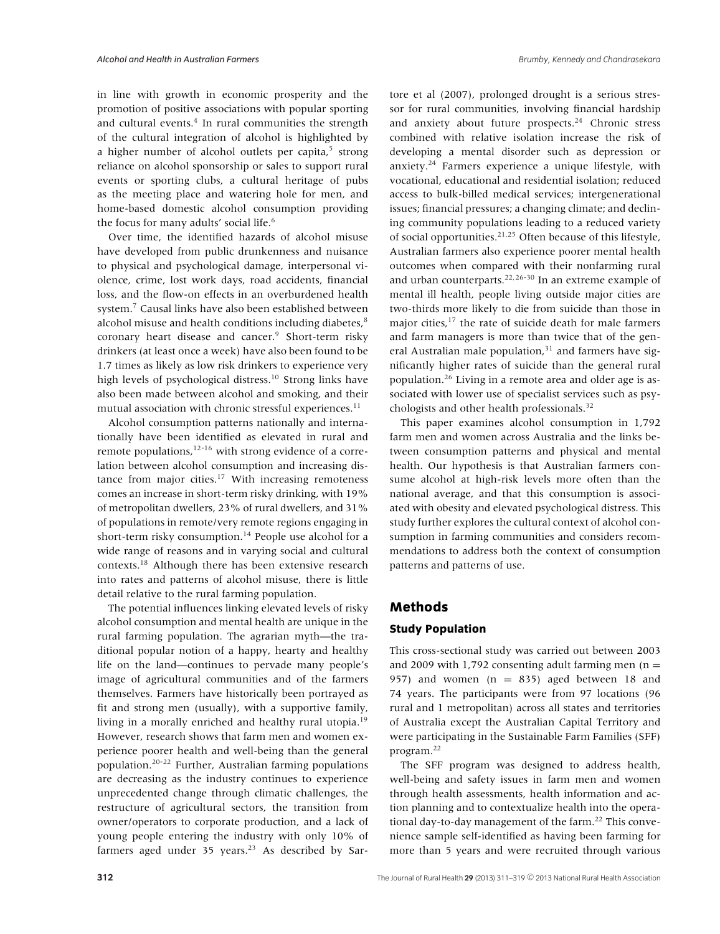in line with growth in economic prosperity and the promotion of positive associations with popular sporting and cultural events. $4$  In rural communities the strength of the cultural integration of alcohol is highlighted by a higher number of alcohol outlets per capita, $5$  strong reliance on alcohol sponsorship or sales to support rural events or sporting clubs, a cultural heritage of pubs as the meeting place and watering hole for men, and home-based domestic alcohol consumption providing the focus for many adults' social life.<sup>6</sup>

Over time, the identified hazards of alcohol misuse have developed from public drunkenness and nuisance to physical and psychological damage, interpersonal violence, crime, lost work days, road accidents, financial loss, and the flow-on effects in an overburdened health system.7 Causal links have also been established between alcohol misuse and health conditions including diabetes,<sup>8</sup> coronary heart disease and cancer.<sup>9</sup> Short-term risky drinkers (at least once a week) have also been found to be 1.7 times as likely as low risk drinkers to experience very high levels of psychological distress.<sup>10</sup> Strong links have also been made between alcohol and smoking, and their mutual association with chronic stressful experiences. $^{11}$ 

Alcohol consumption patterns nationally and internationally have been identified as elevated in rural and remote populations,<sup>12-16</sup> with strong evidence of a correlation between alcohol consumption and increasing distance from major cities. $17$  With increasing remoteness comes an increase in short-term risky drinking, with 19% of metropolitan dwellers, 23% of rural dwellers, and 31% of populations in remote/very remote regions engaging in short-term risky consumption.<sup>14</sup> People use alcohol for a wide range of reasons and in varying social and cultural contexts.18 Although there has been extensive research into rates and patterns of alcohol misuse, there is little detail relative to the rural farming population.

The potential influences linking elevated levels of risky alcohol consumption and mental health are unique in the rural farming population. The agrarian myth—the traditional popular notion of a happy, hearty and healthy life on the land—continues to pervade many people's image of agricultural communities and of the farmers themselves. Farmers have historically been portrayed as fit and strong men (usually), with a supportive family, living in a morally enriched and healthy rural utopia.<sup>19</sup> However, research shows that farm men and women experience poorer health and well-being than the general population.20-22 Further, Australian farming populations are decreasing as the industry continues to experience unprecedented change through climatic challenges, the restructure of agricultural sectors, the transition from owner/operators to corporate production, and a lack of young people entering the industry with only 10% of farmers aged under 35 years.<sup>23</sup> As described by Sar-

tore et al (2007), prolonged drought is a serious stressor for rural communities, involving financial hardship and anxiety about future prospects.<sup>24</sup> Chronic stress combined with relative isolation increase the risk of developing a mental disorder such as depression or anxiety.24 Farmers experience a unique lifestyle, with vocational, educational and residential isolation; reduced access to bulk-billed medical services; intergenerational issues; financial pressures; a changing climate; and declining community populations leading to a reduced variety of social opportunities.<sup>21</sup>,<sup>25</sup> Often because of this lifestyle, Australian farmers also experience poorer mental health outcomes when compared with their nonfarming rural and urban counterparts.<sup>22,26-30</sup> In an extreme example of mental ill health, people living outside major cities are two-thirds more likely to die from suicide than those in major cities,17 the rate of suicide death for male farmers and farm managers is more than twice that of the general Australian male population, $31$  and farmers have significantly higher rates of suicide than the general rural population.<sup>26</sup> Living in a remote area and older age is associated with lower use of specialist services such as psychologists and other health professionals.32

This paper examines alcohol consumption in 1,792 farm men and women across Australia and the links between consumption patterns and physical and mental health. Our hypothesis is that Australian farmers consume alcohol at high-risk levels more often than the national average, and that this consumption is associated with obesity and elevated psychological distress. This study further explores the cultural context of alcohol consumption in farming communities and considers recommendations to address both the context of consumption patterns and patterns of use.

## **Methods**

#### **Study Population**

This cross-sectional study was carried out between 2003 and 2009 with 1,792 consenting adult farming men ( $n =$ 957) and women  $(n = 835)$  aged between 18 and 74 years. The participants were from 97 locations (96 rural and 1 metropolitan) across all states and territories of Australia except the Australian Capital Territory and were participating in the Sustainable Farm Families (SFF) program.22

The SFF program was designed to address health, well-being and safety issues in farm men and women through health assessments, health information and action planning and to contextualize health into the operational day-to-day management of the farm.<sup>22</sup> This convenience sample self-identified as having been farming for more than 5 years and were recruited through various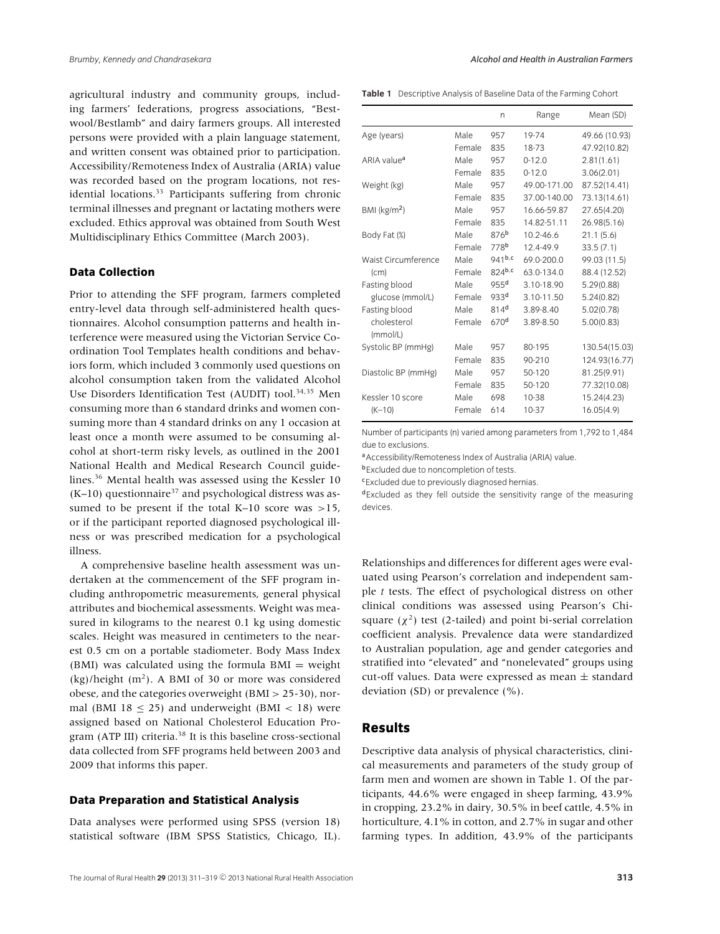agricultural industry and community groups, including farmers' federations, progress associations, "Bestwool/Bestlamb" and dairy farmers groups. All interested persons were provided with a plain language statement, and written consent was obtained prior to participation. Accessibility/Remoteness Index of Australia (ARIA) value was recorded based on the program locations, not residential locations.<sup>33</sup> Participants suffering from chronic terminal illnesses and pregnant or lactating mothers were excluded. Ethics approval was obtained from South West Multidisciplinary Ethics Committee (March 2003).

#### **Data Collection**

Prior to attending the SFF program, farmers completed entry-level data through self-administered health questionnaires. Alcohol consumption patterns and health interference were measured using the Victorian Service Coordination Tool Templates health conditions and behaviors form, which included 3 commonly used questions on alcohol consumption taken from the validated Alcohol Use Disorders Identification Test (AUDIT) tool.<sup>34,35</sup> Men consuming more than 6 standard drinks and women consuming more than 4 standard drinks on any 1 occasion at least once a month were assumed to be consuming alcohol at short-term risky levels, as outlined in the 2001 National Health and Medical Research Council guidelines.<sup>36</sup> Mental health was assessed using the Kessler 10  $(K-10)$  questionnaire<sup>37</sup> and psychological distress was assumed to be present if the total K-10 score was >15, or if the participant reported diagnosed psychological illness or was prescribed medication for a psychological illness.

A comprehensive baseline health assessment was undertaken at the commencement of the SFF program including anthropometric measurements, general physical attributes and biochemical assessments. Weight was measured in kilograms to the nearest 0.1 kg using domestic scales. Height was measured in centimeters to the nearest 0.5 cm on a portable stadiometer. Body Mass Index (BMI) was calculated using the formula BMI  $=$  weight  $(kg)/height$  (m<sup>2</sup>). A BMI of 30 or more was considered obese, and the categories overweight (BMI > 25-30), normal (BMI  $18 \le 25$ ) and underweight (BMI < 18) were assigned based on National Cholesterol Education Program (ATP III) criteria.<sup>38</sup> It is this baseline cross-sectional data collected from SFF programs held between 2003 and 2009 that informs this paper.

## **Data Preparation and Statistical Analysis**

Data analyses were performed using SPSS (version 18) statistical software (IBM SPSS Statistics, Chicago, IL). **Table 1** Descriptive Analysis of Baseline Data of the Farming Cohort

|                         |        | n                | Range          | Mean (SD)     |
|-------------------------|--------|------------------|----------------|---------------|
| Age (years)             | Male   | 957              | 19-74          | 49.66 (10.93) |
|                         | Female | 835              | 18-73          | 47.92(10.82)  |
| ARIA value <sup>a</sup> | Male   | 957              | $0 - 12.0$     | 2.81(1.61)    |
|                         | Female | 835              | $0 - 12.0$     | 3.06(2.01)    |
| Weight (kg)             | Male   | 957              | 49.00-171.00   | 87.52(14.41)  |
|                         | Female | 835              | 37.00-140.00   | 73.13(14.61)  |
| BMI ( $kg/m2$ )         | Male   | 957              | 16.66-59.87    | 27.65(4.20)   |
|                         | Female | 835              | 14.82-51.11    | 26.98(5.16)   |
| Body Fat (%)            | Male   | 876 <sup>b</sup> | $10.2 - 46.6$  | 21.1(5.6)     |
|                         | Female | 778 <sup>b</sup> | 12.4-49.9      | 33.5(7.1)     |
| Waist Circumference     | Male   | $941^{b,c}$      | 69.0-200.0     | 99.03 (11.5)  |
| (cm)                    | Female | $824^{b,c}$      | $63.0 - 134.0$ | 88.4 (12.52)  |
| Fasting blood           | Male   | 955 <sup>d</sup> | 3.10-18.90     | 5.29(0.88)    |
| glucose (mmol/L)        | Female | 933 <sup>d</sup> | 3.10-11.50     | 5.24(0.82)    |
| Fasting blood           | Male   | 814 <sup>d</sup> | 3.89-8.40      | 5.02(0.78)    |
| cholesterol             | Female | 670 <sup>d</sup> | 3.89-8.50      | 5.00(0.83)    |
| (mmol/L)                |        |                  |                |               |
| Systolic BP (mmHg)      | Male   | 957              | 80-195         | 130.54(15.03) |
|                         | Female | 835              | $90 - 210$     | 124.93(16.77) |
| Diastolic BP (mmHg)     | Male   | 957              | 50-120         | 81.25(9.91)   |
|                         | Female | 835              | 50-120         | 77.32(10.08)  |
| Kessler 10 score        | Male   | 698              | 10-38          | 15.24(4.23)   |
| $(K-10)$                | Female | 614              | 10-37          | 16.05(4.9)    |

Number of participants (n) varied among parameters from 1,792 to 1,484 due to exclusions.

a Accessibility/Remoteness Index of Australia (ARIA) value.

bExcluded due to noncompletion of tests.

<sup>c</sup>Excluded due to previously diagnosed hernias.

<sup>d</sup>Excluded as they fell outside the sensitivity range of the measuring devices.

Relationships and differences for different ages were evaluated using Pearson's correlation and independent sample *t* tests. The effect of psychological distress on other clinical conditions was assessed using Pearson's Chisquare  $(\chi^2)$  test (2-tailed) and point bi-serial correlation coefficient analysis. Prevalence data were standardized to Australian population, age and gender categories and stratified into "elevated" and "nonelevated" groups using cut-off values. Data were expressed as mean  $\pm$  standard deviation (SD) or prevalence (%).

## **Results**

Descriptive data analysis of physical characteristics, clinical measurements and parameters of the study group of farm men and women are shown in Table 1. Of the participants, 44.6% were engaged in sheep farming, 43.9% in cropping, 23.2% in dairy, 30.5% in beef cattle, 4.5% in horticulture, 4.1% in cotton, and 2.7% in sugar and other farming types. In addition, 43.9% of the participants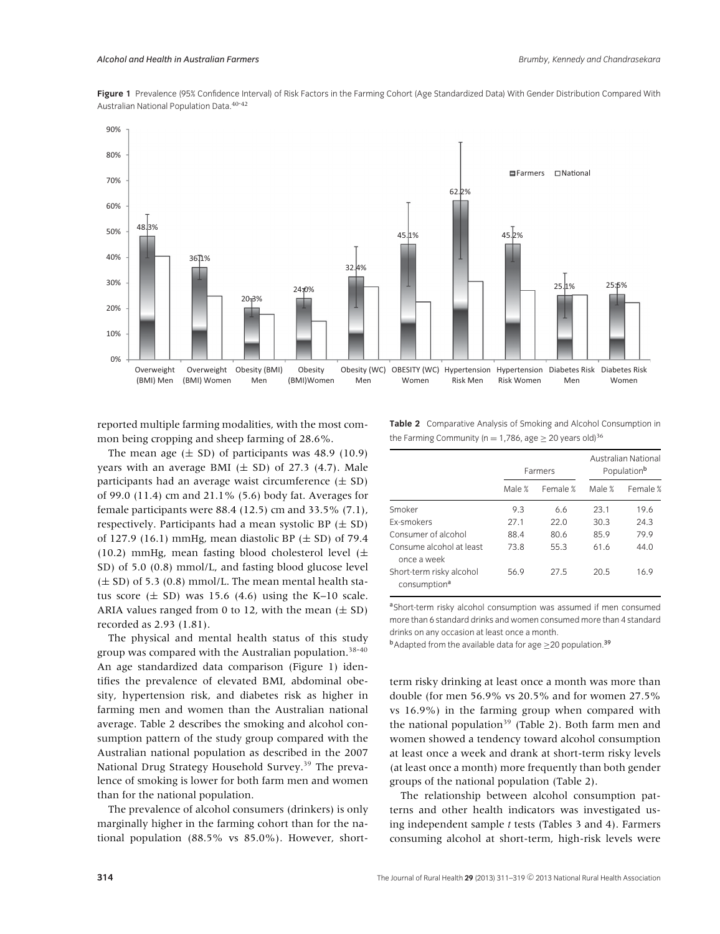

**Figure 1** Prevalence (95% Confidence Interval) of Risk Factors in the Farming Cohort (Age Standardized Data) With Gender Distribution Compared With Australian National Population Data.<sup>40</sup>-<sup>42</sup>

reported multiple farming modalities, with the most common being cropping and sheep farming of 28.6%.

The mean age  $(\pm$  SD) of participants was 48.9 (10.9) years with an average BMI  $(\pm$  SD) of 27.3 (4.7). Male participants had an average waist circumference  $(\pm S D)$ of 99.0 (11.4) cm and 21.1% (5.6) body fat. Averages for female participants were 88.4 (12.5) cm and 33.5% (7.1), respectively. Participants had a mean systolic BP  $(\pm$  SD) of 127.9 (16.1) mmHg, mean diastolic BP  $(\pm$  SD) of 79.4 (10.2) mmHg, mean fasting blood cholesterol level  $(\pm$ SD) of 5.0 (0.8) mmol/L, and fasting blood glucose level  $(\pm S_D)$  of 5.3 (0.8) mmol/L. The mean mental health status score  $(\pm$  SD) was 15.6 (4.6) using the K–10 scale. ARIA values ranged from 0 to 12, with the mean  $(\pm SD)$ recorded as 2.93 (1.81).

The physical and mental health status of this study group was compared with the Australian population.<sup>38-40</sup> An age standardized data comparison (Figure 1) identifies the prevalence of elevated BMI, abdominal obesity, hypertension risk, and diabetes risk as higher in farming men and women than the Australian national average. Table 2 describes the smoking and alcohol consumption pattern of the study group compared with the Australian national population as described in the 2007 National Drug Strategy Household Survey.39 The prevalence of smoking is lower for both farm men and women than for the national population.

The prevalence of alcohol consumers (drinkers) is only marginally higher in the farming cohort than for the national population (88.5% vs 85.0%). However, short-

**Table 2** Comparative Analysis of Smoking and Alcohol Consumption in the Farming Community (n = 1,786, age  $\geq$  20 years old)<sup>36</sup>

|                                                      |        | Farmers  | Australian National<br>Populationb |          |  |
|------------------------------------------------------|--------|----------|------------------------------------|----------|--|
|                                                      | Male % | Female % | Male %                             | Female % |  |
| Smoker                                               | 9.3    | 6.6      | 23.1                               | 19.6     |  |
| <b>Fx-smokers</b>                                    | 271    | 22.0     | 30.3                               | 24.3     |  |
| Consumer of alcohol                                  | 88.4   | 80.6     | 85.9                               | 79.9     |  |
| Consume alcohol at least<br>once a week              | 73.8   | 55.3     | 61.6                               | 44.0     |  |
| Short-term risky alcohol<br>consumption <sup>a</sup> | 56.9   | 275      | 20.5                               | 16.9     |  |

<sup>a</sup>Short-term risky alcohol consumption was assumed if men consumed more than 6 standard drinks and women consumed more than 4 standard drinks on any occasion at least once a month.

 $b$ Adapted from the available data for age  $\geq$ 20 population.<sup>39</sup>

term risky drinking at least once a month was more than double (for men 56.9% vs 20.5% and for women 27.5% vs 16.9%) in the farming group when compared with the national population<sup>39</sup> (Table 2). Both farm men and women showed a tendency toward alcohol consumption at least once a week and drank at short-term risky levels (at least once a month) more frequently than both gender groups of the national population (Table 2).

The relationship between alcohol consumption patterns and other health indicators was investigated using independent sample *t* tests (Tables 3 and 4). Farmers consuming alcohol at short-term, high-risk levels were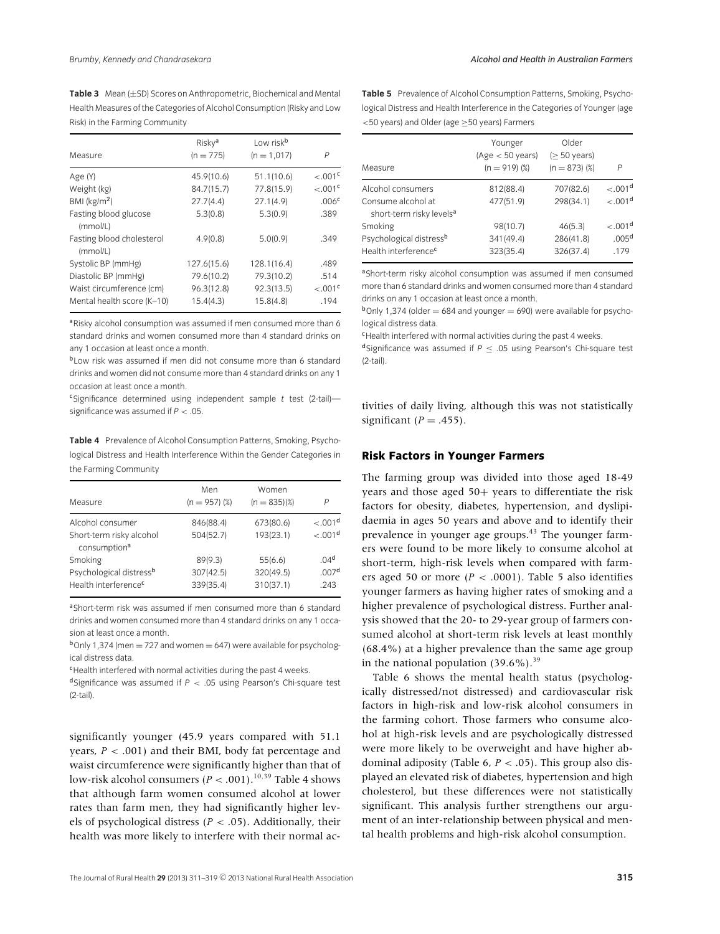**Table 3** Mean (±SD) Scores on Anthropometric, Biochemical and Mental Health Measures of the Categories of Alcohol Consumption (Risky and Low Risk) in the Farming Community

|                                       | Risky <sup>a</sup> | Low risk <sup>b</sup> |                   |
|---------------------------------------|--------------------|-----------------------|-------------------|
| Measure                               | $(n = 775)$        | $(n = 1.017)$         | P                 |
| Age (Y)                               | 45.9(10.6)         | 51.1(10.6)            | $-.001c$          |
| Weight (kg)                           | 84.7(15.7)         | 77.8(15.9)            | $< 0.01^c$        |
| BMI ( $kg/m2$ )                       | 27.7(4.4)          | 27.1(4.9)             | .006 <sup>c</sup> |
| Fasting blood glucose<br>(mmol/L)     | 5.3(0.8)           | 5.3(0.9)              | .389              |
| Fasting blood cholesterol<br>(mmol/L) | 4.9(0.8)           | 5.0(0.9)              | .349              |
| Systolic BP (mmHg)                    | 127.6(15.6)        | 128.1(16.4)           | .489              |
| Diastolic BP (mmHg)                   | 79.6(10.2)         | 79.3(10.2)            | .514              |
| Waist circumference (cm)              | 96.3(12.8)         | 92.3(13.5)            | < .001c           |
| Mental health score (K-10)            | 15.4(4.3)          | 15.8(4.8)             | .194              |

<sup>a</sup>Risky alcohol consumption was assumed if men consumed more than 6 standard drinks and women consumed more than 4 standard drinks on any 1 occasion at least once a month.

<sup>b</sup>Low risk was assumed if men did not consume more than 6 standard drinks and women did not consume more than 4 standard drinks on any 1 occasion at least once a month.

<sup>c</sup>Significance determined using independent sample *t* test (2-tail) significance was assumed if *P <* .05.

**Table 4** Prevalence of Alcohol Consumption Patterns, Smoking, Psychological Distress and Health Interference Within the Gender Categories in the Farming Community

| Measure                                              | Men<br>$(n = 957)(%)$ | Women<br>$(n = 835)(%)$ | P                 |
|------------------------------------------------------|-----------------------|-------------------------|-------------------|
| Alcohol consumer                                     | 846(88.4)             | 673(80.6)               | $-.001d$          |
| Short-term risky alcohol<br>consumption <sup>a</sup> | 504(52.7)             | 193(23.1)               | $-.001d$          |
| Smoking                                              | 89(9.3)               | 55(6.6)                 | .04 <sup>d</sup>  |
| Psychological distress <sup>b</sup>                  | 307(42.5)             | 320(49.5)               | .007 <sup>d</sup> |
| Health interference <sup>c</sup>                     | 339(35.4)             | 310(37.1)               | .243              |

aShort-term risk was assumed if men consumed more than 6 standard drinks and women consumed more than 4 standard drinks on any 1 occasion at least once a month.

 $^{b}$ Only 1,374 (men = 727 and women = 647) were available for psychological distress data.

<sup>c</sup>Health interfered with normal activities during the past 4 weeks.

<sup>d</sup>Significance was assumed if *P <* .05 using Pearson's Chi-square test (2-tail).

significantly younger (45.9 years compared with 51.1 years,  $P < .001$ ) and their BMI, body fat percentage and waist circumference were significantly higher than that of low-risk alcohol consumers  $(P < .001).^{10,39}$  Table 4 shows that although farm women consumed alcohol at lower rates than farm men, they had significantly higher levels of psychological distress (*P* < .05). Additionally, their health was more likely to interfere with their normal ac**Table 5** Prevalence of Alcohol Consumption Patterns, Smoking, Psychological Distress and Health Interference in the Categories of Younger (age <50 years) and Older (age ≥50 years) Farmers

| Measure                                                                 | Younger<br>$(Age < 50 \text{ years})$<br>$(n = 919)(%)$ | Older<br>$( \geq 50 \text{ years})$<br>$(n = 873)(%)$ | P                         |
|-------------------------------------------------------------------------|---------------------------------------------------------|-------------------------------------------------------|---------------------------|
| Alcohol consumers                                                       | 812(88.4)                                               | 707(82.6)                                             | $-.001d$                  |
| Consume alcohol at<br>short-term risky levels <sup>a</sup>              | 477(51.9)                                               | 298(34.1)                                             | < 0.01 <sup>d</sup>       |
| Smoking                                                                 | 98(10.7)                                                | 46(5.3)                                               | $-.001d$                  |
| Psychological distress <sup>b</sup><br>Health interference <sup>c</sup> | 341 (49.4)<br>323(35.4)                                 | 286(41.8)<br>326(37.4)                                | .005 <sup>d</sup><br>.179 |

aShort-term risky alcohol consumption was assumed if men consumed more than 6 standard drinks and women consumed more than 4 standard drinks on any 1 occasion at least once a month.

 $^{b}$ Only 1,374 (older = 684 and younger = 690) were available for psychological distress data.

<sup>c</sup>Health interfered with normal activities during the past 4 weeks.

dSignificance was assumed if  $P \leq .05$  using Pearson's Chi-square test (2-tail).

tivities of daily living, although this was not statistically significant  $(P = .455)$ .

#### **Risk Factors in Younger Farmers**

The farming group was divided into those aged 18-49 years and those aged 50+ years to differentiate the risk factors for obesity, diabetes, hypertension, and dyslipidaemia in ages 50 years and above and to identify their prevalence in younger age groups.<sup>43</sup> The younger farmers were found to be more likely to consume alcohol at short-term, high-risk levels when compared with farmers aged 50 or more ( $P < .0001$ ). Table 5 also identifies younger farmers as having higher rates of smoking and a higher prevalence of psychological distress. Further analysis showed that the 20- to 29-year group of farmers consumed alcohol at short-term risk levels at least monthly (68.4%) at a higher prevalence than the same age group in the national population  $(39.6\%)$ .<sup>39</sup>

Table 6 shows the mental health status (psychologically distressed/not distressed) and cardiovascular risk factors in high-risk and low-risk alcohol consumers in the farming cohort. Those farmers who consume alcohol at high-risk levels and are psychologically distressed were more likely to be overweight and have higher abdominal adiposity (Table 6, *P* < .05). This group also displayed an elevated risk of diabetes, hypertension and high cholesterol, but these differences were not statistically significant. This analysis further strengthens our argument of an inter-relationship between physical and mental health problems and high-risk alcohol consumption.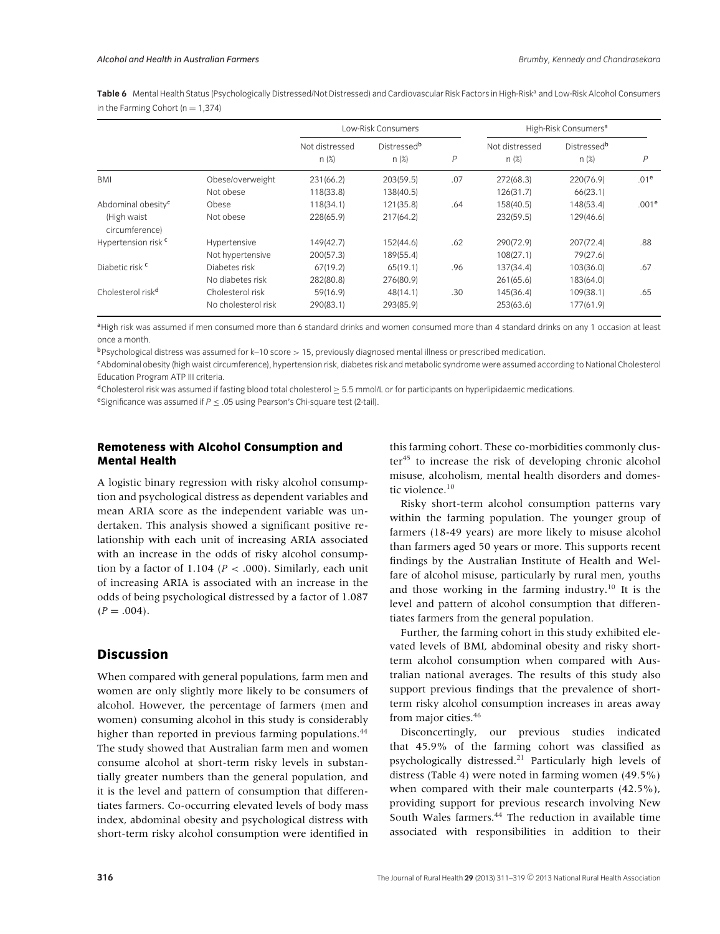Table 6 Mental Health Status (Psychologically Distressed/Not Distressed) and Cardiovascular Risk Factors in High-Risk<sup>a</sup> and Low-Risk Alcohol Consumers in the Farming Cohort ( $n = 1,374$ )

|                                |                     | Low-Risk Consumers      |                                    |              | High-Risk Consumers <sup>a</sup> |                                  |                   |
|--------------------------------|---------------------|-------------------------|------------------------------------|--------------|----------------------------------|----------------------------------|-------------------|
|                                |                     | Not distressed<br>n (%) | Distressed <sup>b</sup><br>$n$ (%) | $\mathsf{P}$ | Not distressed<br>$n$ (%)        | Distressed <sup>b</sup><br>n (%) | P                 |
| <b>BMI</b>                     | Obese/overweight    | 231(66.2)               | 203(59.5)                          | .07          | 272(68.3)                        | 220(76.9)                        | .01 <sup>e</sup>  |
|                                | Not obese           | 118(33.8)               | 138(40.5)                          |              | 126(31.7)                        | 66(23.1)                         |                   |
| Abdominal obesity <sup>c</sup> | Obese               | 118(34.1)               | 121(35.8)                          | .64          | 158(40.5)                        | 148(53.4)                        | .001 <sup>e</sup> |
| (High waist<br>circumference)  | Not obese           | 228(65.9)               | 217(64.2)                          |              | 232(59.5)                        | 129(46.6)                        |                   |
| Hypertension risk <sup>c</sup> | Hypertensive        | 149(42.7)               | 152(44.6)                          | .62          | 290(72.9)                        | 207(72.4)                        | .88               |
|                                | Not hypertensive    | 200(57.3)               | 189(55.4)                          |              | 108(27.1)                        | 79(27.6)                         |                   |
| Diabetic risk <sup>c</sup>     | Diabetes risk       | 67(19.2)                | 65(19.1)                           | .96          | 137(34.4)                        | 103(36.0)                        | .67               |
|                                | No diabetes risk    | 282(80.8)               | 276(80.9)                          |              | 261(65.6)                        | 183(64.0)                        |                   |
| Cholesterol risk <sup>d</sup>  | Cholesterol risk    | 59(16.9)                | 48(14.1)                           | .30          | 145(36.4)                        | 109(38.1)                        | .65               |
|                                | No cholesterol risk | 290(83.1)               | 293(85.9)                          |              | 253(63.6)                        | 177(61.9)                        |                   |

aHigh risk was assumed if men consumed more than 6 standard drinks and women consumed more than 4 standard drinks on any 1 occasion at least once a month.

<sup>b</sup>Psychological distress was assumed for k–10 score *>* 15, previously diagnosed mental illness or prescribed medication.

<sup>c</sup>Abdominal obesity (high waist circumference), hypertension risk, diabetes risk and metabolic syndrome were assumed according to National Cholesterol Education Program ATP III criteria.

 $dC$ holesterol risk was assumed if fasting blood total cholesterol  $\geq$  5.5 mmol/L or for participants on hyperlipidaemic medications.

<sup>e</sup>Significance was assumed if *<sup>P</sup>* <sup>≤</sup> .05 using Pearson's Chi-square test (2-tail).

## **Remoteness with Alcohol Consumption and Mental Health**

A logistic binary regression with risky alcohol consumption and psychological distress as dependent variables and mean ARIA score as the independent variable was undertaken. This analysis showed a significant positive relationship with each unit of increasing ARIA associated with an increase in the odds of risky alcohol consumption by a factor of 1.104 ( $P < .000$ ). Similarly, each unit of increasing ARIA is associated with an increase in the odds of being psychological distressed by a factor of 1.087  $(P=.004)$ .

## **Discussion**

When compared with general populations, farm men and women are only slightly more likely to be consumers of alcohol. However, the percentage of farmers (men and women) consuming alcohol in this study is considerably higher than reported in previous farming populations.<sup>44</sup> The study showed that Australian farm men and women consume alcohol at short-term risky levels in substantially greater numbers than the general population, and it is the level and pattern of consumption that differentiates farmers. Co-occurring elevated levels of body mass index, abdominal obesity and psychological distress with short-term risky alcohol consumption were identified in

this farming cohort. These co-morbidities commonly cluster<sup>45</sup> to increase the risk of developing chronic alcohol misuse, alcoholism, mental health disorders and domestic violence.<sup>10</sup>

Risky short-term alcohol consumption patterns vary within the farming population. The younger group of farmers (18-49 years) are more likely to misuse alcohol than farmers aged 50 years or more. This supports recent findings by the Australian Institute of Health and Welfare of alcohol misuse, particularly by rural men, youths and those working in the farming industry.<sup>10</sup> It is the level and pattern of alcohol consumption that differentiates farmers from the general population.

Further, the farming cohort in this study exhibited elevated levels of BMI, abdominal obesity and risky shortterm alcohol consumption when compared with Australian national averages. The results of this study also support previous findings that the prevalence of shortterm risky alcohol consumption increases in areas away from major cities.<sup>46</sup>

Disconcertingly, our previous studies indicated that 45.9% of the farming cohort was classified as psychologically distressed.<sup>21</sup> Particularly high levels of distress (Table 4) were noted in farming women (49.5%) when compared with their male counterparts (42.5%), providing support for previous research involving New South Wales farmers.<sup>44</sup> The reduction in available time associated with responsibilities in addition to their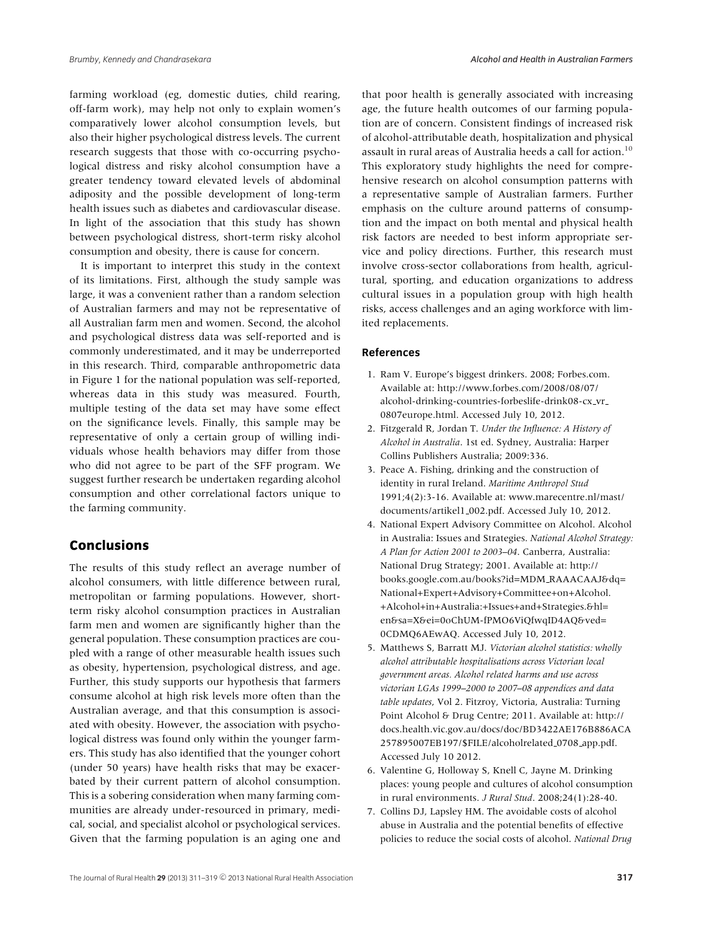farming workload (eg, domestic duties, child rearing, off-farm work), may help not only to explain women's comparatively lower alcohol consumption levels, but also their higher psychological distress levels. The current research suggests that those with co-occurring psychological distress and risky alcohol consumption have a greater tendency toward elevated levels of abdominal adiposity and the possible development of long-term health issues such as diabetes and cardiovascular disease. In light of the association that this study has shown between psychological distress, short-term risky alcohol consumption and obesity, there is cause for concern.

It is important to interpret this study in the context of its limitations. First, although the study sample was large, it was a convenient rather than a random selection of Australian farmers and may not be representative of all Australian farm men and women. Second, the alcohol and psychological distress data was self-reported and is commonly underestimated, and it may be underreported in this research. Third, comparable anthropometric data in Figure 1 for the national population was self-reported, whereas data in this study was measured. Fourth, multiple testing of the data set may have some effect on the significance levels. Finally, this sample may be representative of only a certain group of willing individuals whose health behaviors may differ from those who did not agree to be part of the SFF program. We suggest further research be undertaken regarding alcohol consumption and other correlational factors unique to the farming community.

# **Conclusions**

The results of this study reflect an average number of alcohol consumers, with little difference between rural, metropolitan or farming populations. However, shortterm risky alcohol consumption practices in Australian farm men and women are significantly higher than the general population. These consumption practices are coupled with a range of other measurable health issues such as obesity, hypertension, psychological distress, and age. Further, this study supports our hypothesis that farmers consume alcohol at high risk levels more often than the Australian average, and that this consumption is associated with obesity. However, the association with psychological distress was found only within the younger farmers. This study has also identified that the younger cohort (under 50 years) have health risks that may be exacerbated by their current pattern of alcohol consumption. This is a sobering consideration when many farming communities are already under-resourced in primary, medical, social, and specialist alcohol or psychological services. Given that the farming population is an aging one and

that poor health is generally associated with increasing age, the future health outcomes of our farming population are of concern. Consistent findings of increased risk of alcohol-attributable death, hospitalization and physical assault in rural areas of Australia heeds a call for action.<sup>10</sup> This exploratory study highlights the need for comprehensive research on alcohol consumption patterns with a representative sample of Australian farmers. Further emphasis on the culture around patterns of consumption and the impact on both mental and physical health risk factors are needed to best inform appropriate service and policy directions. Further, this research must involve cross-sector collaborations from health, agricultural, sporting, and education organizations to address cultural issues in a population group with high health risks, access challenges and an aging workforce with limited replacements.

#### **References**

- 1. Ram V. Europe's biggest drinkers. 2008; Forbes.com. Available at: http://www.forbes.com/2008/08/07/ alcohol-drinking-countries-forbeslife-drink08-cx vr 0807europe.html. Accessed July 10, 2012.
- 2. Fitzgerald R, Jordan T. *Under the Influence: A History of Alcohol in Australia*. 1st ed. Sydney, Australia: Harper Collins Publishers Australia; 2009:336.
- 3. Peace A. Fishing, drinking and the construction of identity in rural Ireland. *Maritime Anthropol Stud* 1991;4(2):3-16. Available at: www.marecentre.nl/mast/ documents/artikel1 002.pdf. Accessed July 10, 2012.
- 4. National Expert Advisory Committee on Alcohol. Alcohol in Australia: Issues and Strategies. *National Alcohol Strategy: A Plan for Action 2001 to 2003–04*. Canberra, Australia: National Drug Strategy; 2001. Available at: http:// books.google.com.au/books?id=MDM RAAACAAJ&dq= National+Expert+Advisory+Committee+on+Alcohol. +Alcohol+in+Australia:+Issues+and+Strategies.&hl= en&sa=X&ei=0oChUM-fPMO6ViQfwqID4AQ&ved= 0CDMQ6AEwAQ. Accessed July 10, 2012.
- 5. Matthews S, Barratt MJ. *Victorian alcohol statistics: wholly alcohol attributable hospitalisations across Victorian local government areas. Alcohol related harms and use across victorian LGAs 1999–2000 to 2007–08 appendices and data table updates*, Vol 2. Fitzroy, Victoria, Australia: Turning Point Alcohol & Drug Centre; 2011. Available at: http:// docs.health.vic.gov.au/docs/doc/BD3422AE176B886ACA 257895007EB197/\$FILE/alcoholrelated 0708 app.pdf. Accessed July 10 2012.
- 6. Valentine G, Holloway S, Knell C, Jayne M. Drinking places: young people and cultures of alcohol consumption in rural environments. *J Rural Stud*. 2008;24(1):28-40.
- 7. Collins DJ, Lapsley HM. The avoidable costs of alcohol abuse in Australia and the potential benefits of effective policies to reduce the social costs of alcohol. *National Drug*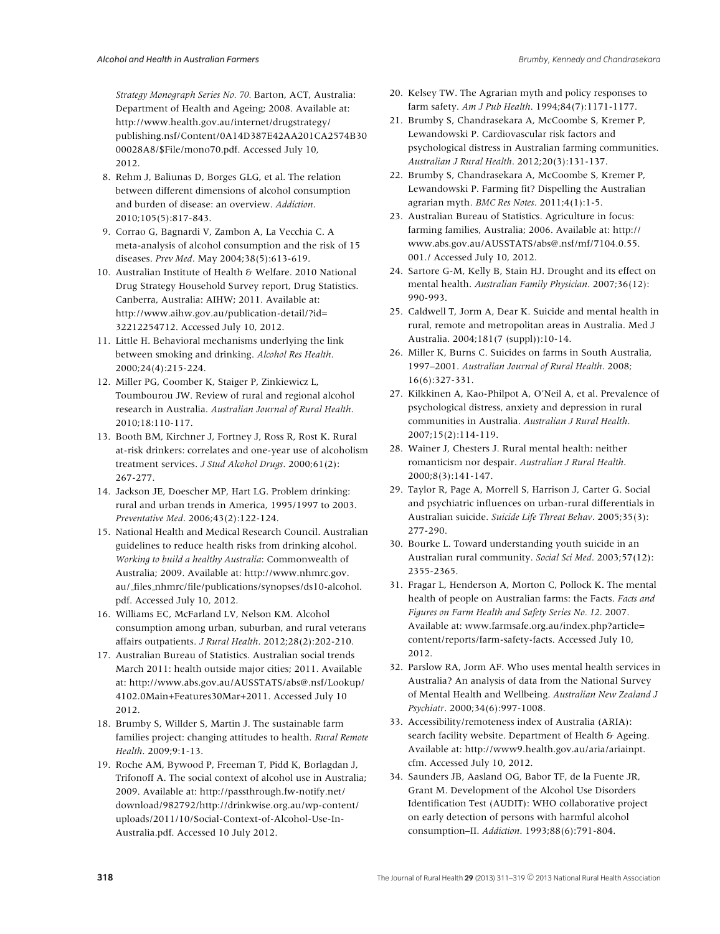*Strategy Monograph Series No. 70.* Barton, ACT, Australia: Department of Health and Ageing; 2008. Available at: http://www.health.gov.au/internet/drugstrategy/ publishing.nsf/Content/0A14D387E42AA201CA2574B30 00028A8/\$File/mono70.pdf. Accessed July 10, 2012.

- 8. Rehm J, Baliunas D, Borges GLG, et al. The relation between different dimensions of alcohol consumption and burden of disease: an overview. *Addiction*. 2010;105(5):817-843.
- 9. Corrao G, Bagnardi V, Zambon A, La Vecchia C. A meta-analysis of alcohol consumption and the risk of 15 diseases. *Prev Med*. May 2004;38(5):613-619.
- 10. Australian Institute of Health & Welfare. 2010 National Drug Strategy Household Survey report, Drug Statistics. Canberra, Australia: AIHW; 2011. Available at: http://www.aihw.gov.au/publication-detail/?id= 32212254712. Accessed July 10, 2012.
- 11. Little H. Behavioral mechanisms underlying the link between smoking and drinking. *Alcohol Res Health*. 2000;24(4):215-224.
- 12. Miller PG, Coomber K, Staiger P, Zinkiewicz L, Toumbourou JW. Review of rural and regional alcohol research in Australia. *Australian Journal of Rural Health*. 2010;18:110-117.
- 13. Booth BM, Kirchner J, Fortney J, Ross R, Rost K. Rural at-risk drinkers: correlates and one-year use of alcoholism treatment services. *J Stud Alcohol Drugs*. 2000;61(2): 267-277.
- 14. Jackson JE, Doescher MP, Hart LG. Problem drinking: rural and urban trends in America, 1995/1997 to 2003. *Preventative Med*. 2006;43(2):122-124.
- 15. National Health and Medical Research Council. Australian guidelines to reduce health risks from drinking alcohol. *Working to build a healthy Australia*: Commonwealth of Australia; 2009. Available at: http://www.nhmrc.gov. au/ files nhmrc/file/publications/synopses/ds10-alcohol. pdf. Accessed July 10, 2012.
- 16. Williams EC, McFarland LV, Nelson KM. Alcohol consumption among urban, suburban, and rural veterans affairs outpatients. *J Rural Health*. 2012;28(2):202-210.
- 17. Australian Bureau of Statistics. Australian social trends March 2011: health outside major cities; 2011. Available at: http://www.abs.gov.au/AUSSTATS/abs@.nsf/Lookup/ 4102.0Main+Features30Mar+2011. Accessed July 10 2012.
- 18. Brumby S, Willder S, Martin J. The sustainable farm families project: changing attitudes to health. *Rural Remote Health*. 2009;9:1-13.
- 19. Roche AM, Bywood P, Freeman T, Pidd K, Borlagdan J, Trifonoff A. The social context of alcohol use in Australia; 2009. Available at: http://passthrough.fw-notify.net/ download/982792/http://drinkwise.org.au/wp-content/ uploads/2011/10/Social-Context-of-Alcohol-Use-In-Australia.pdf. Accessed 10 July 2012.
- 20. Kelsey TW. The Agrarian myth and policy responses to farm safety. *Am J Pub Health*. 1994;84(7):1171-1177.
- 21. Brumby S, Chandrasekara A, McCoombe S, Kremer P, Lewandowski P. Cardiovascular risk factors and psychological distress in Australian farming communities. *Australian J Rural Health*. 2012;20(3):131-137.
- 22. Brumby S, Chandrasekara A, McCoombe S, Kremer P, Lewandowski P. Farming fit? Dispelling the Australian agrarian myth. *BMC Res Notes*. 2011;4(1):1-5.
- 23. Australian Bureau of Statistics. Agriculture in focus: farming families, Australia; 2006. Available at: http:// www.abs.gov.au/AUSSTATS/abs@.nsf/mf/7104.0.55. 001./ Accessed July 10, 2012.
- 24. Sartore G-M, Kelly B, Stain HJ. Drought and its effect on mental health. *Australian Family Physician*. 2007;36(12): 990-993.
- 25. Caldwell T, Jorm A, Dear K. Suicide and mental health in rural, remote and metropolitan areas in Australia. Med J Australia. 2004;181(7 (suppl)):10-14.
- 26. Miller K, Burns C. Suicides on farms in South Australia, 1997–2001. *Australian Journal of Rural Health*. 2008; 16(6):327-331.
- 27. Kilkkinen A, Kao-Philpot A, O'Neil A, et al. Prevalence of psychological distress, anxiety and depression in rural communities in Australia. *Australian J Rural Health*. 2007;15(2):114-119.
- 28. Wainer J, Chesters J. Rural mental health: neither romanticism nor despair. *Australian J Rural Health*. 2000;8(3):141-147.
- 29. Taylor R, Page A, Morrell S, Harrison J, Carter G. Social and psychiatric influences on urban-rural differentials in Australian suicide. *Suicide Life Threat Behav*. 2005;35(3): 277-290.
- 30. Bourke L. Toward understanding youth suicide in an Australian rural community. *Social Sci Med*. 2003;57(12): 2355-2365.
- 31. Fragar L, Henderson A, Morton C, Pollock K. The mental health of people on Australian farms: the Facts. *Facts and Figures on Farm Health and Safety Series No. 12*. 2007. Available at: www.farmsafe.org.au/index.php?article= content/reports/farm-safety-facts. Accessed July 10, 2012.
- 32. Parslow RA, Jorm AF. Who uses mental health services in Australia? An analysis of data from the National Survey of Mental Health and Wellbeing. *Australian New Zealand J Psychiatr*. 2000;34(6):997-1008.
- 33. Accessibility/remoteness index of Australia (ARIA): search facility website. Department of Health & Ageing. Available at: http://www9.health.gov.au/aria/ariainpt. cfm. Accessed July 10, 2012.
- 34. Saunders JB, Aasland OG, Babor TF, de la Fuente JR, Grant M. Development of the Alcohol Use Disorders Identification Test (AUDIT): WHO collaborative project on early detection of persons with harmful alcohol consumption–II. *Addiction*. 1993;88(6):791-804.